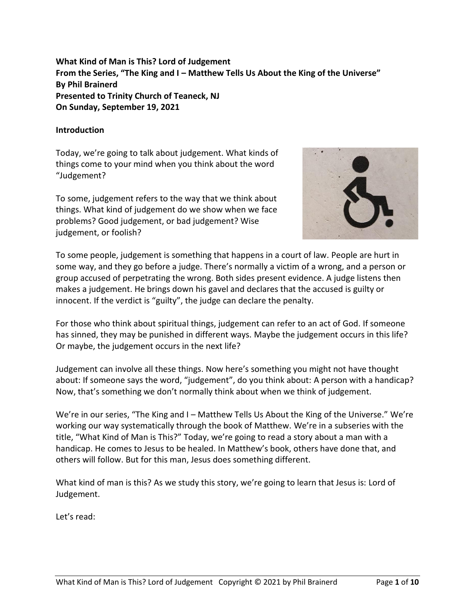**What Kind of Man is This? Lord of Judgement From the Series, "The King and I – Matthew Tells Us About the King of the Universe" By Phil Brainerd Presented to Trinity Church of Teaneck, NJ On Sunday, September 19, 2021**

#### **Introduction**

Today, we're going to talk about judgement. What kinds of things come to your mind when you think about the word "Judgement?

To some, judgement refers to the way that we think about things. What kind of judgement do we show when we face problems? Good judgement, or bad judgement? Wise judgement, or foolish?



To some people, judgement is something that happens in a court of law. People are hurt in some way, and they go before a judge. There's normally a victim of a wrong, and a person or group accused of perpetrating the wrong. Both sides present evidence. A judge listens then makes a judgement. He brings down his gavel and declares that the accused is guilty or innocent. If the verdict is "guilty", the judge can declare the penalty.

For those who think about spiritual things, judgement can refer to an act of God. If someone has sinned, they may be punished in different ways. Maybe the judgement occurs in this life? Or maybe, the judgement occurs in the next life?

Judgement can involve all these things. Now here's something you might not have thought about: If someone says the word, "judgement", do you think about: A person with a handicap? Now, that's something we don't normally think about when we think of judgement.

We're in our series, "The King and I – Matthew Tells Us About the King of the Universe." We're working our way systematically through the book of Matthew. We're in a subseries with the title, "What Kind of Man is This?" Today, we're going to read a story about a man with a handicap. He comes to Jesus to be healed. In Matthew's book, others have done that, and others will follow. But for this man, Jesus does something different.

What kind of man is this? As we study this story, we're going to learn that Jesus is: Lord of Judgement.

Let's read: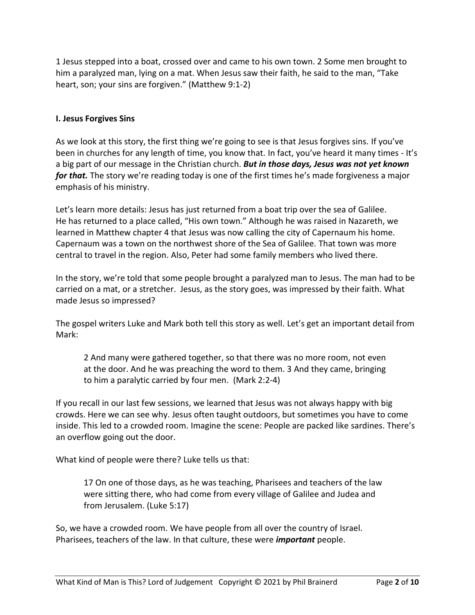1 Jesus stepped into a boat, crossed over and came to his own town. 2 Some men brought to him a paralyzed man, lying on a mat. When Jesus saw their faith, he said to the man, "Take heart, son; your sins are forgiven." (Matthew 9:1-2)

#### **I. Jesus Forgives Sins**

As we look at this story, the first thing we're going to see is that Jesus forgives sins. If you've been in churches for any length of time, you know that. In fact, you've heard it many times - It's a big part of our message in the Christian church. *But in those days, Jesus was not yet known for that.* The story we're reading today is one of the first times he's made forgiveness a major emphasis of his ministry.

Let's learn more details: Jesus has just returned from a boat trip over the sea of Galilee. He has returned to a place called, "His own town." Although he was raised in Nazareth, we learned in Matthew chapter 4 that Jesus was now calling the city of Capernaum his home. Capernaum was a town on the northwest shore of the Sea of Galilee. That town was more central to travel in the region. Also, Peter had some family members who lived there.

In the story, we're told that some people brought a paralyzed man to Jesus. The man had to be carried on a mat, or a stretcher. Jesus, as the story goes, was impressed by their faith. What made Jesus so impressed?

The gospel writers Luke and Mark both tell this story as well. Let's get an important detail from Mark:

2 And many were gathered together, so that there was no more room, not even at the door. And he was preaching the word to them. 3 And they came, bringing to him a paralytic carried by four men. (Mark 2:2-4)

If you recall in our last few sessions, we learned that Jesus was not always happy with big crowds. Here we can see why. Jesus often taught outdoors, but sometimes you have to come inside. This led to a crowded room. Imagine the scene: People are packed like sardines. There's an overflow going out the door.

What kind of people were there? Luke tells us that:

17 On one of those days, as he was teaching, Pharisees and teachers of the law were sitting there, who had come from every village of Galilee and Judea and from Jerusalem. (Luke 5:17)

So, we have a crowded room. We have people from all over the country of Israel. Pharisees, teachers of the law. In that culture, these were *important* people.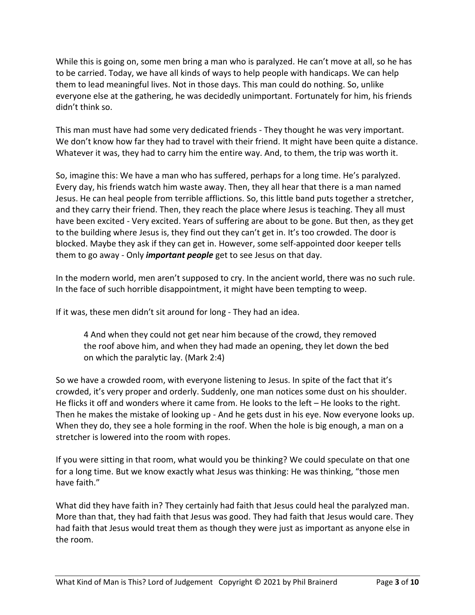While this is going on, some men bring a man who is paralyzed. He can't move at all, so he has to be carried. Today, we have all kinds of ways to help people with handicaps. We can help them to lead meaningful lives. Not in those days. This man could do nothing. So, unlike everyone else at the gathering, he was decidedly unimportant. Fortunately for him, his friends didn't think so.

This man must have had some very dedicated friends - They thought he was very important. We don't know how far they had to travel with their friend. It might have been quite a distance. Whatever it was, they had to carry him the entire way. And, to them, the trip was worth it.

So, imagine this: We have a man who has suffered, perhaps for a long time. He's paralyzed. Every day, his friends watch him waste away. Then, they all hear that there is a man named Jesus. He can heal people from terrible afflictions. So, this little band puts together a stretcher, and they carry their friend. Then, they reach the place where Jesus is teaching. They all must have been excited - Very excited. Years of suffering are about to be gone. But then, as they get to the building where Jesus is, they find out they can't get in. It's too crowded. The door is blocked. Maybe they ask if they can get in. However, some self-appointed door keeper tells them to go away - Only *important people* get to see Jesus on that day.

In the modern world, men aren't supposed to cry. In the ancient world, there was no such rule. In the face of such horrible disappointment, it might have been tempting to weep.

If it was, these men didn't sit around for long - They had an idea.

4 And when they could not get near him because of the crowd, they removed the roof above him, and when they had made an opening, they let down the bed on which the paralytic lay. (Mark 2:4)

So we have a crowded room, with everyone listening to Jesus. In spite of the fact that it's crowded, it's very proper and orderly. Suddenly, one man notices some dust on his shoulder. He flicks it off and wonders where it came from. He looks to the left – He looks to the right. Then he makes the mistake of looking up - And he gets dust in his eye. Now everyone looks up. When they do, they see a hole forming in the roof. When the hole is big enough, a man on a stretcher is lowered into the room with ropes.

If you were sitting in that room, what would you be thinking? We could speculate on that one for a long time. But we know exactly what Jesus was thinking: He was thinking, "those men have faith."

What did they have faith in? They certainly had faith that Jesus could heal the paralyzed man. More than that, they had faith that Jesus was good. They had faith that Jesus would care. They had faith that Jesus would treat them as though they were just as important as anyone else in the room.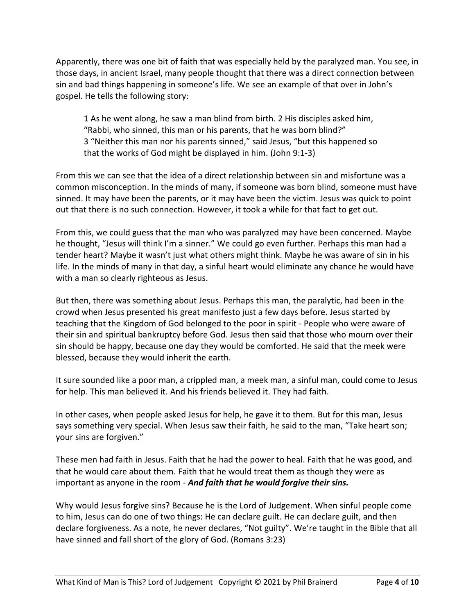Apparently, there was one bit of faith that was especially held by the paralyzed man. You see, in those days, in ancient Israel, many people thought that there was a direct connection between sin and bad things happening in someone's life. We see an example of that over in John's gospel. He tells the following story:

1 As he went along, he saw a man blind from birth. 2 His disciples asked him, "Rabbi, who sinned, this man or his parents, that he was born blind?" 3 "Neither this man nor his parents sinned," said Jesus, "but this happened so that the works of God might be displayed in him. (John 9:1-3)

From this we can see that the idea of a direct relationship between sin and misfortune was a common misconception. In the minds of many, if someone was born blind, someone must have sinned. It may have been the parents, or it may have been the victim. Jesus was quick to point out that there is no such connection. However, it took a while for that fact to get out.

From this, we could guess that the man who was paralyzed may have been concerned. Maybe he thought, "Jesus will think I'm a sinner." We could go even further. Perhaps this man had a tender heart? Maybe it wasn't just what others might think. Maybe he was aware of sin in his life. In the minds of many in that day, a sinful heart would eliminate any chance he would have with a man so clearly righteous as Jesus.

But then, there was something about Jesus. Perhaps this man, the paralytic, had been in the crowd when Jesus presented his great manifesto just a few days before. Jesus started by teaching that the Kingdom of God belonged to the poor in spirit - People who were aware of their sin and spiritual bankruptcy before God. Jesus then said that those who mourn over their sin should be happy, because one day they would be comforted. He said that the meek were blessed, because they would inherit the earth.

It sure sounded like a poor man, a crippled man, a meek man, a sinful man, could come to Jesus for help. This man believed it. And his friends believed it. They had faith.

In other cases, when people asked Jesus for help, he gave it to them. But for this man, Jesus says something very special. When Jesus saw their faith, he said to the man, "Take heart son; your sins are forgiven."

These men had faith in Jesus. Faith that he had the power to heal. Faith that he was good, and that he would care about them. Faith that he would treat them as though they were as important as anyone in the room - *And faith that he would forgive their sins.*

Why would Jesus forgive sins? Because he is the Lord of Judgement. When sinful people come to him, Jesus can do one of two things: He can declare guilt. He can declare guilt, and then declare forgiveness. As a note, he never declares, "Not guilty". We're taught in the Bible that all have sinned and fall short of the glory of God. (Romans 3:23)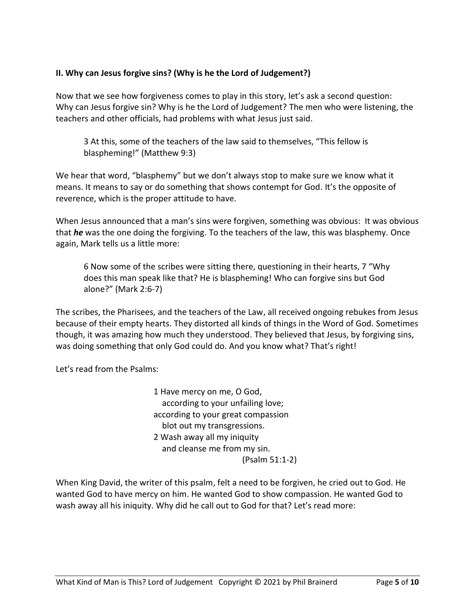## **II. Why can Jesus forgive sins? (Why is he the Lord of Judgement?)**

Now that we see how forgiveness comes to play in this story, let's ask a second question: Why can Jesus forgive sin? Why is he the Lord of Judgement? The men who were listening, the teachers and other officials, had problems with what Jesus just said.

3 At this, some of the teachers of the law said to themselves, "This fellow is blaspheming!" (Matthew 9:3)

We hear that word, "blasphemy" but we don't always stop to make sure we know what it means. It means to say or do something that shows contempt for God. It's the opposite of reverence, which is the proper attitude to have.

When Jesus announced that a man's sins were forgiven, something was obvious: It was obvious that *he* was the one doing the forgiving. To the teachers of the law, this was blasphemy. Once again, Mark tells us a little more:

6 Now some of the scribes were sitting there, questioning in their hearts, 7 "Why does this man speak like that? He is blaspheming! Who can forgive sins but God alone?" (Mark 2:6-7)

The scribes, the Pharisees, and the teachers of the Law, all received ongoing rebukes from Jesus because of their empty hearts. They distorted all kinds of things in the Word of God. Sometimes though, it was amazing how much they understood. They believed that Jesus, by forgiving sins, was doing something that only God could do. And you know what? That's right!

Let's read from the Psalms:

1 Have mercy on me, O God, according to your unfailing love; according to your great compassion blot out my transgressions. 2 Wash away all my iniquity and cleanse me from my sin. (Psalm 51:1-2)

When King David, the writer of this psalm, felt a need to be forgiven, he cried out to God. He wanted God to have mercy on him. He wanted God to show compassion. He wanted God to wash away all his iniquity. Why did he call out to God for that? Let's read more: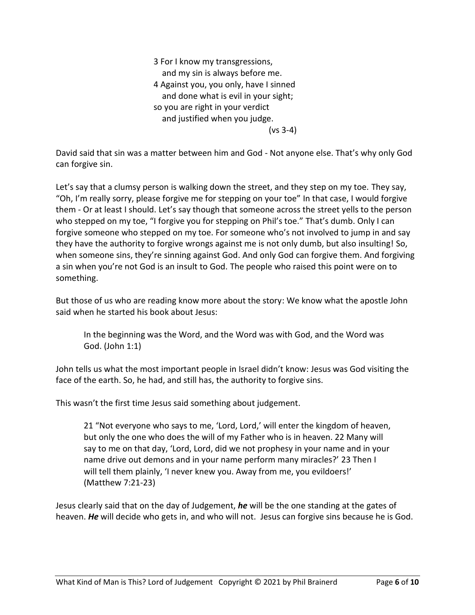3 For I know my transgressions, and my sin is always before me. 4 Against you, you only, have I sinned and done what is evil in your sight; so you are right in your verdict and justified when you judge. (vs 3-4)

David said that sin was a matter between him and God - Not anyone else. That's why only God can forgive sin.

Let's say that a clumsy person is walking down the street, and they step on my toe. They say, "Oh, I'm really sorry, please forgive me for stepping on your toe" In that case, I would forgive them - Or at least I should. Let's say though that someone across the street yells to the person who stepped on my toe, "I forgive you for stepping on Phil's toe." That's dumb. Only I can forgive someone who stepped on my toe. For someone who's not involved to jump in and say they have the authority to forgive wrongs against me is not only dumb, but also insulting! So, when someone sins, they're sinning against God. And only God can forgive them. And forgiving a sin when you're not God is an insult to God. The people who raised this point were on to something.

But those of us who are reading know more about the story: We know what the apostle John said when he started his book about Jesus:

In the beginning was the Word, and the Word was with God, and the Word was God. (John 1:1)

John tells us what the most important people in Israel didn't know: Jesus was God visiting the face of the earth. So, he had, and still has, the authority to forgive sins.

This wasn't the first time Jesus said something about judgement.

21 "Not everyone who says to me, 'Lord, Lord,' will enter the kingdom of heaven, but only the one who does the will of my Father who is in heaven. 22 Many will say to me on that day, 'Lord, Lord, did we not prophesy in your name and in your name drive out demons and in your name perform many miracles?' 23 Then I will tell them plainly, 'I never knew you. Away from me, you evildoers!' (Matthew 7:21-23)

Jesus clearly said that on the day of Judgement, *he* will be the one standing at the gates of heaven. *He* will decide who gets in, and who will not. Jesus can forgive sins because he is God.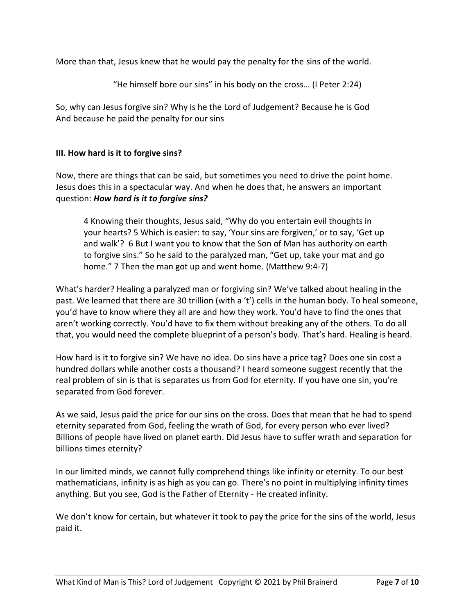More than that, Jesus knew that he would pay the penalty for the sins of the world.

"He himself bore our sins" in his body on the cross… (I Peter 2:24)

So, why can Jesus forgive sin? Why is he the Lord of Judgement? Because he is God And because he paid the penalty for our sins

#### **III. How hard is it to forgive sins?**

Now, there are things that can be said, but sometimes you need to drive the point home. Jesus does this in a spectacular way. And when he does that, he answers an important question: *How hard is it to forgive sins?*

4 Knowing their thoughts, Jesus said, "Why do you entertain evil thoughts in your hearts? 5 Which is easier: to say, 'Your sins are forgiven,' or to say, 'Get up and walk'? 6 But I want you to know that the Son of Man has authority on earth to forgive sins." So he said to the paralyzed man, "Get up, take your mat and go home." 7 Then the man got up and went home. (Matthew 9:4-7)

What's harder? Healing a paralyzed man or forgiving sin? We've talked about healing in the past. We learned that there are 30 trillion (with a 't') cells in the human body. To heal someone, you'd have to know where they all are and how they work. You'd have to find the ones that aren't working correctly. You'd have to fix them without breaking any of the others. To do all that, you would need the complete blueprint of a person's body. That's hard. Healing is heard.

How hard is it to forgive sin? We have no idea. Do sins have a price tag? Does one sin cost a hundred dollars while another costs a thousand? I heard someone suggest recently that the real problem of sin is that is separates us from God for eternity. If you have one sin, you're separated from God forever.

As we said, Jesus paid the price for our sins on the cross. Does that mean that he had to spend eternity separated from God, feeling the wrath of God, for every person who ever lived? Billions of people have lived on planet earth. Did Jesus have to suffer wrath and separation for billions times eternity?

In our limited minds, we cannot fully comprehend things like infinity or eternity. To our best mathematicians, infinity is as high as you can go. There's no point in multiplying infinity times anything. But you see, God is the Father of Eternity - He created infinity.

We don't know for certain, but whatever it took to pay the price for the sins of the world, Jesus paid it.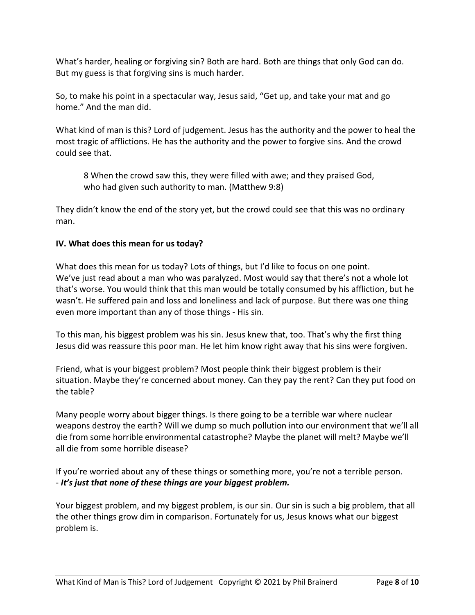What's harder, healing or forgiving sin? Both are hard. Both are things that only God can do. But my guess is that forgiving sins is much harder.

So, to make his point in a spectacular way, Jesus said, "Get up, and take your mat and go home." And the man did.

What kind of man is this? Lord of judgement. Jesus has the authority and the power to heal the most tragic of afflictions. He has the authority and the power to forgive sins. And the crowd could see that.

8 When the crowd saw this, they were filled with awe; and they praised God, who had given such authority to man. (Matthew 9:8)

They didn't know the end of the story yet, but the crowd could see that this was no ordinary man.

## **IV. What does this mean for us today?**

What does this mean for us today? Lots of things, but I'd like to focus on one point. We've just read about a man who was paralyzed. Most would say that there's not a whole lot that's worse. You would think that this man would be totally consumed by his affliction, but he wasn't. He suffered pain and loss and loneliness and lack of purpose. But there was one thing even more important than any of those things - His sin.

To this man, his biggest problem was his sin. Jesus knew that, too. That's why the first thing Jesus did was reassure this poor man. He let him know right away that his sins were forgiven.

Friend, what is your biggest problem? Most people think their biggest problem is their situation. Maybe they're concerned about money. Can they pay the rent? Can they put food on the table?

Many people worry about bigger things. Is there going to be a terrible war where nuclear weapons destroy the earth? Will we dump so much pollution into our environment that we'll all die from some horrible environmental catastrophe? Maybe the planet will melt? Maybe we'll all die from some horrible disease?

If you're worried about any of these things or something more, you're not a terrible person. - *It's just that none of these things are your biggest problem.*

Your biggest problem, and my biggest problem, is our sin. Our sin is such a big problem, that all the other things grow dim in comparison. Fortunately for us, Jesus knows what our biggest problem is.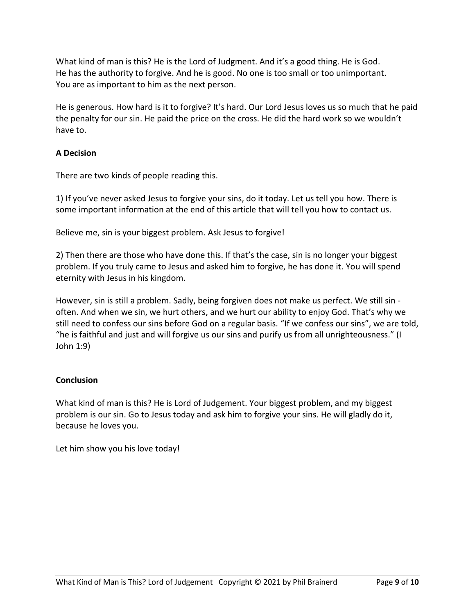What kind of man is this? He is the Lord of Judgment. And it's a good thing. He is God. He has the authority to forgive. And he is good. No one is too small or too unimportant. You are as important to him as the next person.

He is generous. How hard is it to forgive? It's hard. Our Lord Jesus loves us so much that he paid the penalty for our sin. He paid the price on the cross. He did the hard work so we wouldn't have to.

# **A Decision**

There are two kinds of people reading this.

1) If you've never asked Jesus to forgive your sins, do it today. Let us tell you how. There is some important information at the end of this article that will tell you how to contact us.

Believe me, sin is your biggest problem. Ask Jesus to forgive!

2) Then there are those who have done this. If that's the case, sin is no longer your biggest problem. If you truly came to Jesus and asked him to forgive, he has done it. You will spend eternity with Jesus in his kingdom.

However, sin is still a problem. Sadly, being forgiven does not make us perfect. We still sin often. And when we sin, we hurt others, and we hurt our ability to enjoy God. That's why we still need to confess our sins before God on a regular basis. "If we confess our sins", we are told, "he is faithful and just and will forgive us our sins and purify us from all unrighteousness." (I John 1:9)

## **Conclusion**

What kind of man is this? He is Lord of Judgement. Your biggest problem, and my biggest problem is our sin. Go to Jesus today and ask him to forgive your sins. He will gladly do it, because he loves you.

Let him show you his love today!